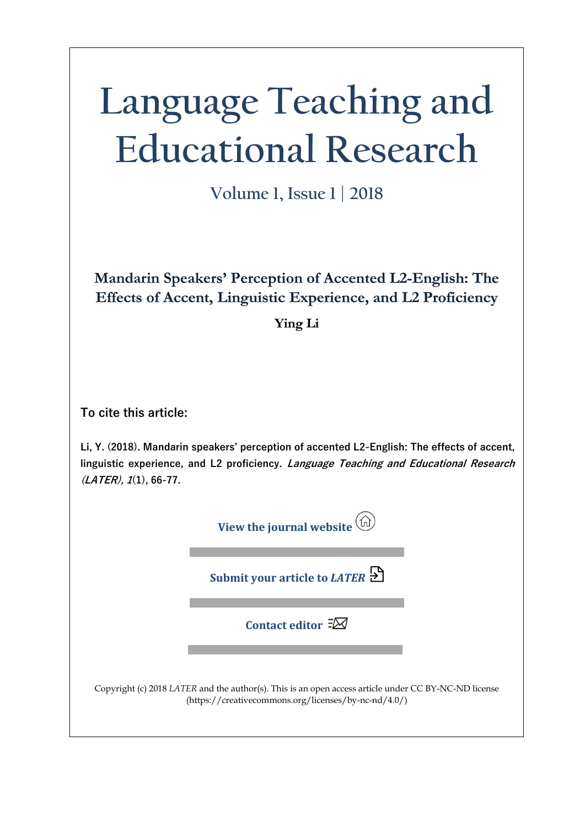# **Language Teaching and Educational Research**

**Volume 1, Issue 1 | 2018**

**Mandarin Speakers' Perception of Accented L2-English: The Effects of Accent, Linguistic Experience, and L2 Proficiency** 

**Ying Li** 

**To cite this article:** 

**Li, Y. (2018). Mandarin speakers' perception of accented L2-English: The effects of accent, linguistic experience, and L2 proficiency. Language Teaching and Educational Research (LATER), 1(1), 66-77.** 

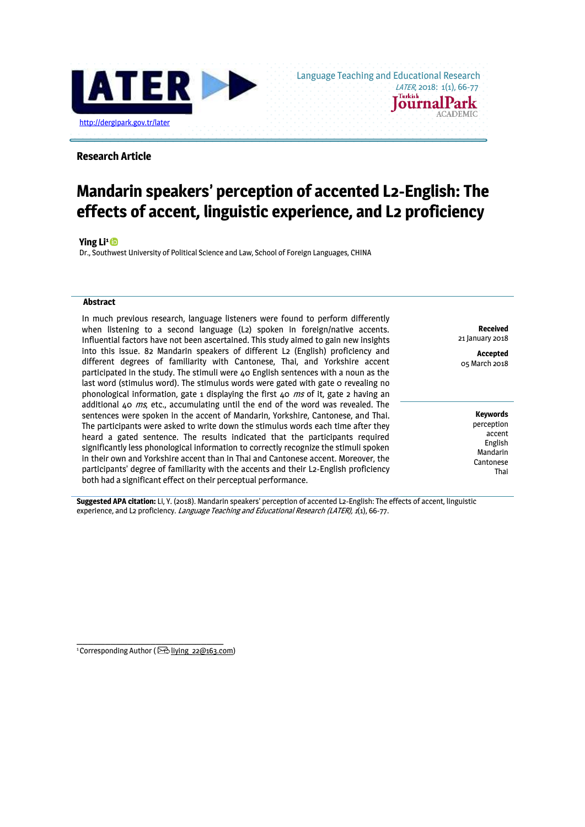

Language Teaching and Educational Research **ournalPark** 

**ACADEMIC** 

# **Research Article**

# **Mandarin speakers' perception of accented L2-English: The effects of accent, linguistic experience, and L2 proficiency**

**Ying Li[1](https://orcid.org/0000-0003-1783-9083)** 

Dr., Southwest University of Political Science and Law, School of Foreign Languages, CHINA

#### **Abstract**

In much previous research, language listeners were found to perform differently when listening to a second language (L2) spoken in foreign/native accents. Influential factors have not been ascertained. This study aimed to gain new insights into this issue. 82 Mandarin speakers of different L2 (English) proficiency and different degrees of familiarity with Cantonese, Thai, and Yorkshire accent participated in the study. The stimuli were 40 English sentences with a noun as the last word (stimulus word). The stimulus words were gated with gate o revealing no phonological information, gate 1 displaying the first  $\Delta$ o *ms* of it, gate 2 having an additional 40  $ms$ , etc., accumulating until the end of the word was revealed. The sentences were spoken in the accent of Mandarin, Yorkshire, Cantonese, and Thai. The participants were asked to write down the stimulus words each time after they heard a gated sentence. The results indicated that the participants required significantly less phonological information to correctly recognize the stimuli spoken in their own and Yorkshire accent than in Thai and Cantonese accent. Moreover, the participants' degree of familiarity with the accents and their L2-English proficiency both had a significant effect on their perceptual performance.

**Received** 21 January 2018

**Accepted**  05 March 2018

> **Keywords** perception accent English Mandarin

Cantonese Thai

**Suggested APA citation:** Li, Y. (2018). Mandarin speakers' perception of accented L2-English: The effects of accent, linguistic experience, and L2 proficiency. *Language Teaching and Educational Research (LATER)*, 1(1), 66-77.

**\_\_\_\_\_\_\_\_\_\_\_\_\_\_\_\_\_\_\_\_\_\_\_\_\_\_** <sup>1</sup> Corresponding Author ( $\boxtimes$  liying 22@163.com)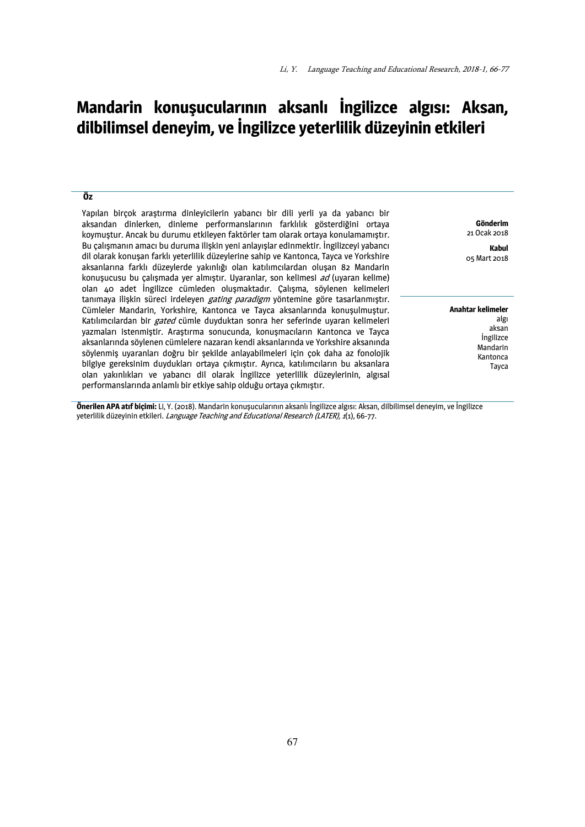# **Mandarin konuşucularının aksanlı İngilizce algısı: Aksan, dilbilimsel deneyim, ve İngilizce yeterlilik düzeyinin etkileri**

## **Öz**

Yapılan birçok araştırma dinleyicilerin yabancı bir dili yerli ya da yabancı bir aksandan dinlerken, dinleme performanslarının farklılık gösterdiğini ortaya koymuştur. Ancak bu durumu etkileyen faktörler tam olarak ortaya konulamamıştır. Bu çalışmanın amacı bu duruma ilişkin yeni anlayışlar edinmektir. İngilizceyi yabancı dil olarak konuşan farklı yeterlilik düzeylerine sahip ve Kantonca, Tayca ve Yorkshire aksanlarına farklı düzeylerde yakınlığı olan katılımcılardan oluşan 82 Mandarin konusucusu bu çalışmada yer almıştır. Uyaranlar, son kelimesi ad (uyaran kelime) olan 40 adet İngilizce cümleden oluşmaktadır. Çalışma, söylenen kelimeleri tanımaya ilişkin süreci irdeleyen gating paradigm yöntemine göre tasarlanmıştır. Cümleler Mandarin, Yorkshire, Kantonca ve Tayca aksanlarında konuşulmuştur. Katılımcılardan bir *gated* cümle duyduktan sonra her seferinde uyaran kelimeleri yazmaları istenmiştir. Araştırma sonucunda, konuşmacıların Kantonca ve Tayca aksanlarında söylenen cümlelere nazaran kendi aksanlarında ve Yorkshire aksanında söylenmiş uyaranları doğru bir şekilde anlayabilmeleri için çok daha az fonolojik bilgiye gereksinim duydukları ortaya çıkmıştır. Ayrıca, katılımcıların bu aksanlara olan yakınlıkları ve yabancı dil olarak İngilizce yeterlilik düzeylerinin, algısal performanslarında anlamlı bir etkiye sahip olduğu ortaya çıkmıştır.

**Gönderim** 21 Ocak 2018

**Kabul**  05 Mart 2018

**Anahtar kelimeler** algı aksan İngilizce Mandarin Kantonca Tayca

**Önerilen APA atıf biçimi:** Li, Y. (2018). Mandarin konuşucularının aksanlı İngilizce algısı: Aksan, dilbilimsel deneyim, ve İngilizce yeterlilik düzeyinin etkileri. *Language Teaching and Educational Research (LATER), 1*(1), 66-77.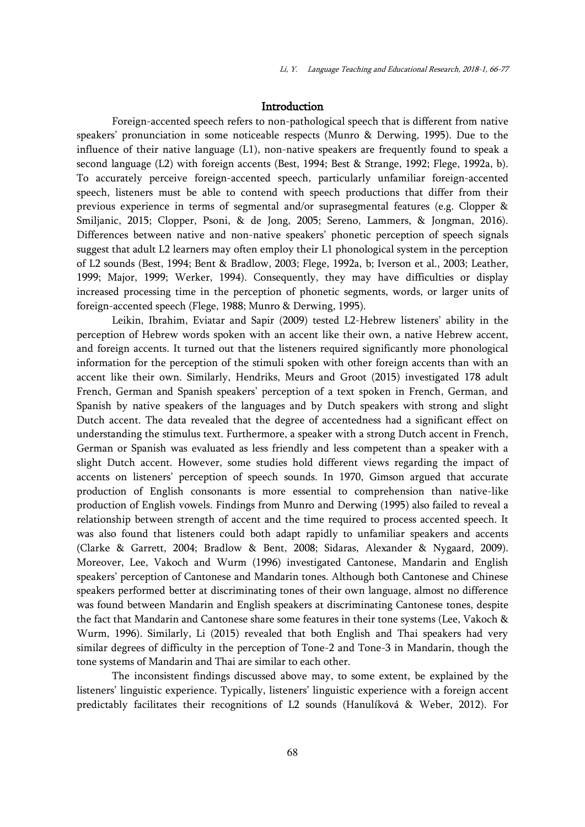# Introduction

Foreign-accented speech refers to non-pathological speech that is different from native speakers' pronunciation in some noticeable respects (Munro & Derwing, 1995). Due to the influence of their native language (L1), non-native speakers are frequently found to speak a second language (L2) with foreign accents (Best, 1994; Best & Strange, 1992; Flege, 1992a, b). To accurately perceive foreign-accented speech, particularly unfamiliar foreign-accented speech, listeners must be able to contend with speech productions that differ from their previous experience in terms of segmental and/or suprasegmental features (e.g. Clopper & Smiljanic, 2015; Clopper, Psoni, & de Jong, 2005; Sereno, Lammers, & Jongman, 2016). Differences between native and non-native speakers' phonetic perception of speech signals suggest that adult L2 learners may often employ their L1 phonological system in the perception of L2 sounds (Best, 1994; Bent & Bradlow, 2003; Flege, 1992a, b; Iverson et al., 2003; Leather, 1999; Major, 1999; Werker, 1994). Consequently, they may have difficulties or display increased processing time in the perception of phonetic segments, words, or larger units of foreign-accented speech (Flege, 1988; Munro & Derwing, 1995).

Leikin, Ibrahim, Eviatar and Sapir (2009) tested L2-Hebrew listeners' ability in the perception of Hebrew words spoken with an accent like their own, a native Hebrew accent, and foreign accents. It turned out that the listeners required significantly more phonological information for the perception of the stimuli spoken with other foreign accents than with an accent like their own. Similarly, Hendriks, Meurs and Groot (2015) investigated 178 adult French, German and Spanish speakers' perception of a text spoken in French, German, and Spanish by native speakers of the languages and by Dutch speakers with strong and slight Dutch accent. The data revealed that the degree of accentedness had a significant effect on understanding the stimulus text. Furthermore, a speaker with a strong Dutch accent in French, German or Spanish was evaluated as less friendly and less competent than a speaker with a slight Dutch accent. However, some studies hold different views regarding the impact of accents on listeners' perception of speech sounds. In 1970, Gimson argued that accurate production of English consonants is more essential to comprehension than native-like production of English vowels. Findings from Munro and Derwing (1995) also failed to reveal a relationship between strength of accent and the time required to process accented speech. It was also found that listeners could both adapt rapidly to unfamiliar speakers and accents (Clarke & Garrett, 2004; Bradlow & Bent, 2008; Sidaras, Alexander & Nygaard, 2009). Moreover, Lee, Vakoch and Wurm (1996) investigated Cantonese, Mandarin and English speakers' perception of Cantonese and Mandarin tones. Although both Cantonese and Chinese speakers performed better at discriminating tones of their own language, almost no difference was found between Mandarin and English speakers at discriminating Cantonese tones, despite the fact that Mandarin and Cantonese share some features in their tone systems (Lee, Vakoch & Wurm, 1996). Similarly, Li (2015) revealed that both English and Thai speakers had very similar degrees of difficulty in the perception of Tone-2 and Tone-3 in Mandarin, though the tone systems of Mandarin and Thai are similar to each other.

The inconsistent findings discussed above may, to some extent, be explained by the listeners' linguistic experience. Typically, listeners' linguistic experience with a foreign accent predictably facilitates their recognitions of L2 sounds (Hanulíková & Weber, 2012). For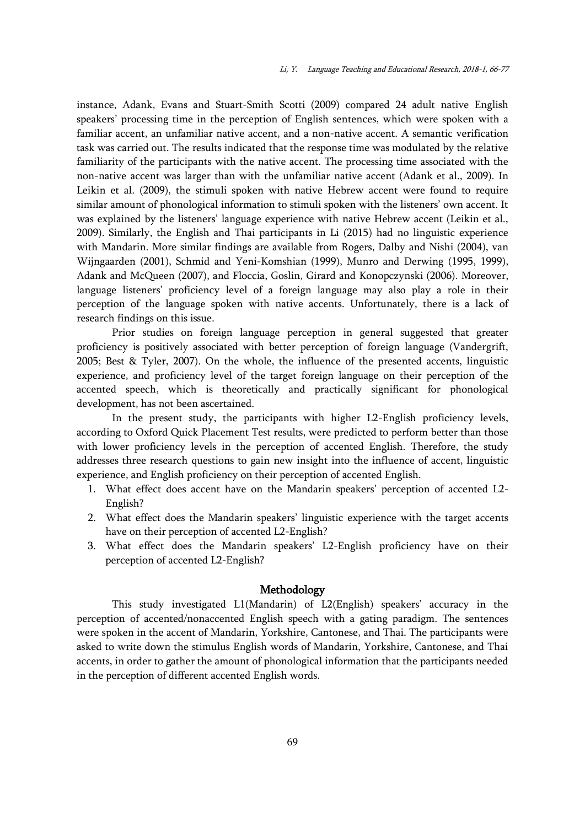instance, Adank, Evans and Stuart-Smith Scotti (2009) compared 24 adult native English speakers' processing time in the perception of English sentences, which were spoken with a familiar accent, an unfamiliar native accent, and a non-native accent. A semantic verification task was carried out. The results indicated that the response time was modulated by the relative familiarity of the participants with the native accent. The processing time associated with the non-native accent was larger than with the unfamiliar native accent (Adank et al., 2009). In Leikin et al. (2009), the stimuli spoken with native Hebrew accent were found to require similar amount of phonological information to stimuli spoken with the listeners' own accent. It was explained by the listeners' language experience with native Hebrew accent (Leikin et al., 2009). Similarly, the English and Thai participants in Li (2015) had no linguistic experience with Mandarin. More similar findings are available from Rogers, Dalby and Nishi (2004), van Wijngaarden (2001), Schmid and Yeni-Komshian (1999), Munro and Derwing (1995, 1999), Adank and McQueen (2007), and Floccia, Goslin, Girard and Konopczynski (2006). Moreover, language listeners' proficiency level of a foreign language may also play a role in their perception of the language spoken with native accents. Unfortunately, there is a lack of research findings on this issue.

Prior studies on foreign language perception in general suggested that greater proficiency is positively associated with better perception of foreign language (Vandergrift, 2005; Best & Tyler, 2007). On the whole, the influence of the presented accents, linguistic experience, and proficiency level of the target foreign language on their perception of the accented speech, which is theoretically and practically significant for phonological development, has not been ascertained.

In the present study, the participants with higher L2-English proficiency levels, according to Oxford Quick Placement Test results, were predicted to perform better than those with lower proficiency levels in the perception of accented English. Therefore, the study addresses three research questions to gain new insight into the influence of accent, linguistic experience, and English proficiency on their perception of accented English.

- 1. What effect does accent have on the Mandarin speakers' perception of accented L2- English?
- 2. What effect does the Mandarin speakers' linguistic experience with the target accents have on their perception of accented L2-English?
- 3. What effect does the Mandarin speakers' L2-English proficiency have on their perception of accented L2-English?

# Methodology

This study investigated L1(Mandarin) of L2(English) speakers' accuracy in the perception of accented/nonaccented English speech with a gating paradigm. The sentences were spoken in the accent of Mandarin, Yorkshire, Cantonese, and Thai. The participants were asked to write down the stimulus English words of Mandarin, Yorkshire, Cantonese, and Thai accents, in order to gather the amount of phonological information that the participants needed in the perception of different accented English words.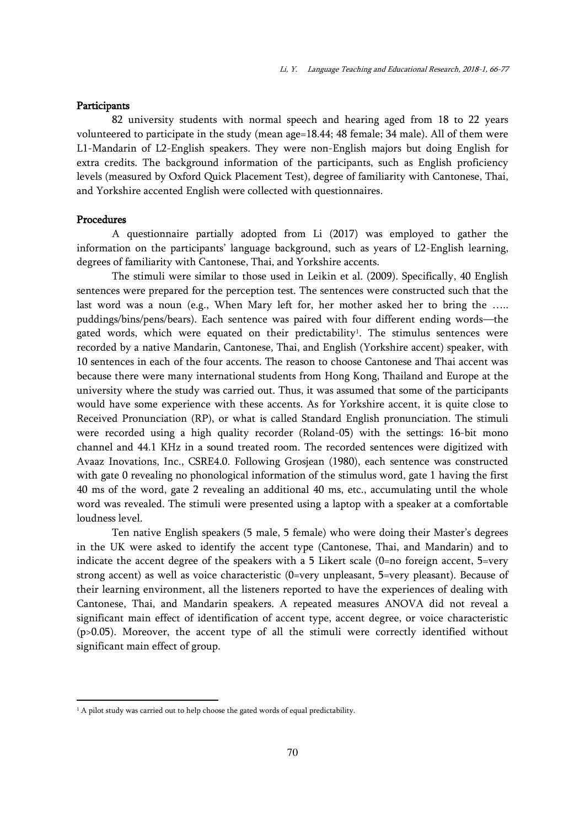# **Participants**

82 university students with normal speech and hearing aged from 18 to 22 years volunteered to participate in the study (mean age=18.44; 48 female; 34 male). All of them were L1-Mandarin of L2-English speakers. They were non-English majors but doing English for extra credits. The background information of the participants, such as English proficiency levels (measured by Oxford Quick Placement Test), degree of familiarity with Cantonese, Thai, and Yorkshire accented English were collected with questionnaires.

# Procedures

 $\overline{a}$ 

A questionnaire partially adopted from Li (2017) was employed to gather the information on the participants' language background, such as years of L2-English learning, degrees of familiarity with Cantonese, Thai, and Yorkshire accents.

The stimuli were similar to those used in Leikin et al. (2009). Specifically, 40 English sentences were prepared for the perception test. The sentences were constructed such that the last word was a noun (e.g., When Mary left for, her mother asked her to bring the ….. puddings/bins/pens/bears). Each sentence was paired with four different ending words—the gated words, which were equated on their predictability<sup>1</sup>. The stimulus sentences were recorded by a native Mandarin, Cantonese, Thai, and English (Yorkshire accent) speaker, with 10 sentences in each of the four accents. The reason to choose Cantonese and Thai accent was because there were many international students from Hong Kong, Thailand and Europe at the university where the study was carried out. Thus, it was assumed that some of the participants would have some experience with these accents. As for Yorkshire accent, it is quite close to Received Pronunciation (RP), or what is called Standard English pronunciation. The stimuli were recorded using a high quality recorder (Roland-05) with the settings: 16-bit mono channel and 44.1 KHz in a sound treated room. The recorded sentences were digitized with Avaaz Inovations, Inc., CSRE4.0. Following Grosjean (1980), each sentence was constructed with gate 0 revealing no phonological information of the stimulus word, gate 1 having the first 40 ms of the word, gate 2 revealing an additional 40 ms, etc., accumulating until the whole word was revealed. The stimuli were presented using a laptop with a speaker at a comfortable loudness level.

Ten native English speakers (5 male, 5 female) who were doing their Master's degrees in the UK were asked to identify the accent type (Cantonese, Thai, and Mandarin) and to indicate the accent degree of the speakers with a 5 Likert scale  $(0=$ no foreign accent, 5=very strong accent) as well as voice characteristic (0=very unpleasant, 5=very pleasant). Because of their learning environment, all the listeners reported to have the experiences of dealing with Cantonese, Thai, and Mandarin speakers. A repeated measures ANOVA did not reveal a significant main effect of identification of accent type, accent degree, or voice characteristic (p>0.05). Moreover, the accent type of all the stimuli were correctly identified without significant main effect of group.

<sup>&</sup>lt;sup>1</sup> A pilot study was carried out to help choose the gated words of equal predictability.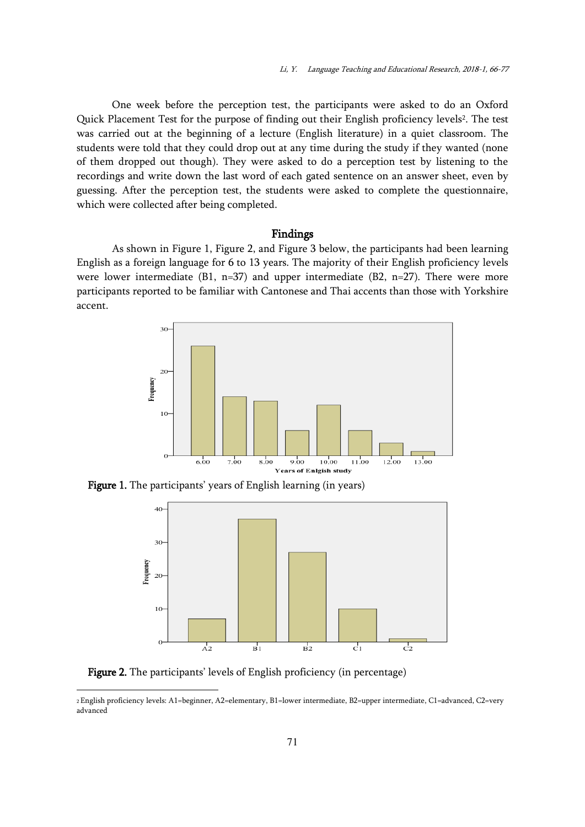One week before the perception test, the participants were asked to do an Oxford Quick Placement Test for the purpose of finding out their English proficiency levels<sup>2</sup>. The test was carried out at the beginning of a lecture (English literature) in a quiet classroom. The students were told that they could drop out at any time during the study if they wanted (none of them dropped out though). They were asked to do a perception test by listening to the recordings and write down the last word of each gated sentence on an answer sheet, even by guessing. After the perception test, the students were asked to complete the questionnaire, which were collected after being completed.

# Findings

As shown in Figure 1, Figure 2, and Figure 3 below, the participants had been learning English as a foreign language for 6 to 13 years. The majority of their English proficiency levels were lower intermediate (B1, n=37) and upper intermediate (B2, n=27). There were more participants reported to be familiar with Cantonese and Thai accents than those with Yorkshire accent.



Figure 1. The participants' years of English learning (in years)



Figure 2. The participants' levels of English proficiency (in percentage)

 $\overline{a}$ 

<sup>2</sup>English proficiency levels: A1=beginner, A2=elementary, B1=lower intermediate, B2=upper intermediate, C1=advanced, C2=very advanced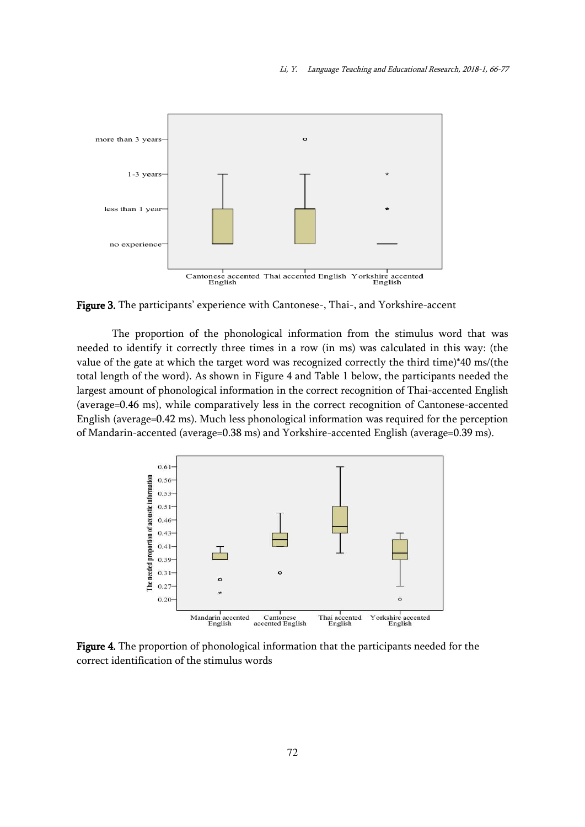

Figure 3. The participants' experience with Cantonese-, Thai-, and Yorkshire-accent

The proportion of the phonological information from the stimulus word that was needed to identify it correctly three times in a row (in ms) was calculated in this way: (the value of the gate at which the target word was recognized correctly the third time)\*40 ms/(the total length of the word). As shown in Figure 4 and Table 1 below, the participants needed the largest amount of phonological information in the correct recognition of Thai-accented English (average=0.46 ms), while comparatively less in the correct recognition of Cantonese-accented English (average=0.42 ms). Much less phonological information was required for the perception of Mandarin-accented (average=0.38 ms) and Yorkshire-accented English (average=0.39 ms).



Figure 4. The proportion of phonological information that the participants needed for the correct identification of the stimulus words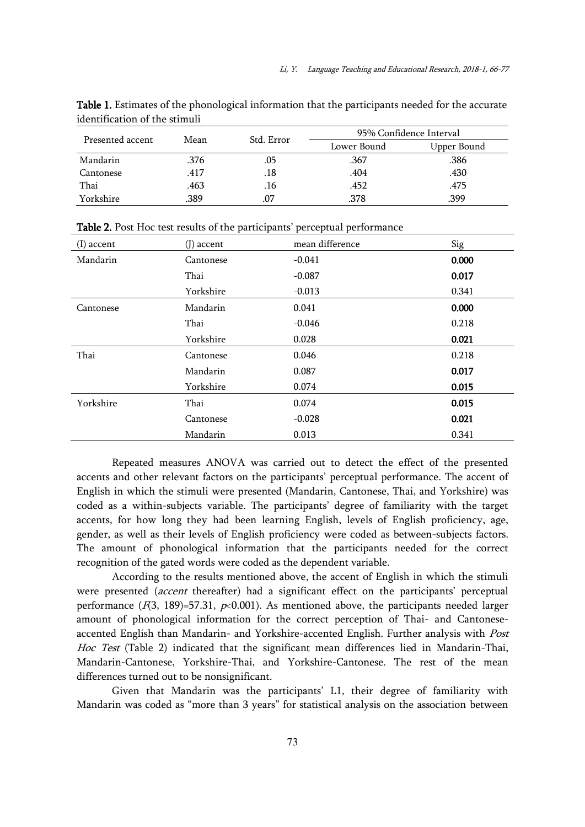|                  |      |            | 95% Confidence Interval |             |
|------------------|------|------------|-------------------------|-------------|
| Presented accent | Mean | Std. Error | Lower Bound             | Upper Bound |
| Mandarin         | .376 | .05        | .367                    | .386        |
| Cantonese        | .417 | .18        | .404                    | .430        |
| Thai             | .463 | .16        | .452                    | .475        |
| Yorkshire        | .389 |            | .378                    | .399        |

Table 1. Estimates of the phonological information that the participants needed for the accurate identification of the stimuli

| $(I)$ accent | $(J)$ accent | mean difference | Sig   |
|--------------|--------------|-----------------|-------|
| Mandarin     | Cantonese    | $-0.041$        | 0.000 |
|              | Thai         | $-0.087$        | 0.017 |
|              | Yorkshire    | $-0.013$        | 0.341 |
| Cantonese    | Mandarin     | 0.041           | 0.000 |
|              | Thai         | $-0.046$        | 0.218 |
|              | Yorkshire    | 0.028           | 0.021 |
| Thai         | Cantonese    | 0.046           | 0.218 |
|              | Mandarin     | 0.087           | 0.017 |
|              | Yorkshire    | 0.074           | 0.015 |
| Yorkshire    | Thai         | 0.074           | 0.015 |
|              | Cantonese    | $-0.028$        | 0.021 |
|              | Mandarin     | 0.013           | 0.341 |

Table 2. Post Hoc test results of the participants' perceptual performance

Repeated measures ANOVA was carried out to detect the effect of the presented accents and other relevant factors on the participants' perceptual performance. The accent of English in which the stimuli were presented (Mandarin, Cantonese, Thai, and Yorkshire) was coded as a within-subjects variable. The participants' degree of familiarity with the target accents, for how long they had been learning English, levels of English proficiency, age, gender, as well as their levels of English proficiency were coded as between-subjects factors. The amount of phonological information that the participants needed for the correct recognition of the gated words were coded as the dependent variable.

According to the results mentioned above, the accent of English in which the stimuli were presented (accent thereafter) had a significant effect on the participants' perceptual performance ( $F(3, 189) = 57.31$ ,  $p<0.001$ ). As mentioned above, the participants needed larger amount of phonological information for the correct perception of Thai- and Cantoneseaccented English than Mandarin- and Yorkshire-accented English. Further analysis with Post Hoc Test (Table 2) indicated that the significant mean differences lied in Mandarin-Thai, Mandarin-Cantonese, Yorkshire-Thai, and Yorkshire-Cantonese. The rest of the mean differences turned out to be nonsignificant.

Given that Mandarin was the participants' L1, their degree of familiarity with Mandarin was coded as "more than 3 years" for statistical analysis on the association between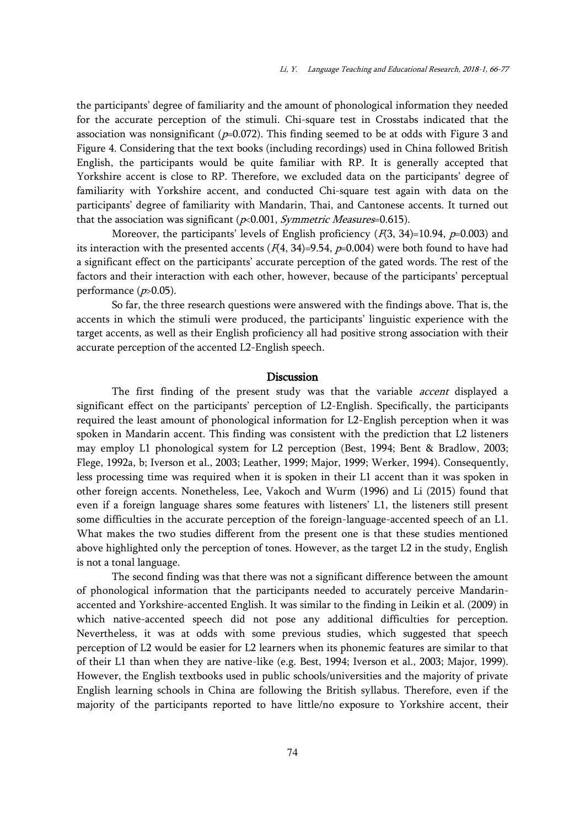the participants' degree of familiarity and the amount of phonological information they needed for the accurate perception of the stimuli. Chi-square test in Crosstabs indicated that the association was nonsignificant ( $p=0.072$ ). This finding seemed to be at odds with Figure 3 and Figure 4. Considering that the text books (including recordings) used in China followed British English, the participants would be quite familiar with RP. It is generally accepted that Yorkshire accent is close to RP. Therefore, we excluded data on the participants' degree of familiarity with Yorkshire accent, and conducted Chi-square test again with data on the participants' degree of familiarity with Mandarin, Thai, and Cantonese accents. It turned out that the association was significant ( $p$ <0.001, *Symmetric Measures*=0.615).

Moreover, the participants' levels of English proficiency  $(F(3, 34)=10.94, p=0.003)$  and its interaction with the presented accents  $(F(4, 34)=9.54, p=0.004)$  were both found to have had a significant effect on the participants' accurate perception of the gated words. The rest of the factors and their interaction with each other, however, because of the participants' perceptual performance  $(p>0.05)$ .

So far, the three research questions were answered with the findings above. That is, the accents in which the stimuli were produced, the participants' linguistic experience with the target accents, as well as their English proficiency all had positive strong association with their accurate perception of the accented L2-English speech.

# Discussion

The first finding of the present study was that the variable *accent* displayed a significant effect on the participants' perception of L2-English. Specifically, the participants required the least amount of phonological information for L2-English perception when it was spoken in Mandarin accent. This finding was consistent with the prediction that L2 listeners may employ L1 phonological system for L2 perception (Best, 1994; Bent & Bradlow, 2003; Flege, 1992a, b; Iverson et al., 2003; Leather, 1999; Major, 1999; Werker, 1994). Consequently, less processing time was required when it is spoken in their L1 accent than it was spoken in other foreign accents. Nonetheless, Lee, Vakoch and Wurm (1996) and Li (2015) found that even if a foreign language shares some features with listeners' L1, the listeners still present some difficulties in the accurate perception of the foreign-language-accented speech of an L1. What makes the two studies different from the present one is that these studies mentioned above highlighted only the perception of tones. However, as the target L2 in the study, English is not a tonal language.

The second finding was that there was not a significant difference between the amount of phonological information that the participants needed to accurately perceive Mandarinaccented and Yorkshire-accented English. It was similar to the finding in Leikin et al. (2009) in which native-accented speech did not pose any additional difficulties for perception. Nevertheless, it was at odds with some previous studies, which suggested that speech perception of L2 would be easier for L2 learners when its phonemic features are similar to that of their L1 than when they are native-like (e.g. Best, 1994; Iverson et al., 2003; Major, 1999). However, the English textbooks used in public schools/universities and the majority of private English learning schools in China are following the British syllabus. Therefore, even if the majority of the participants reported to have little/no exposure to Yorkshire accent, their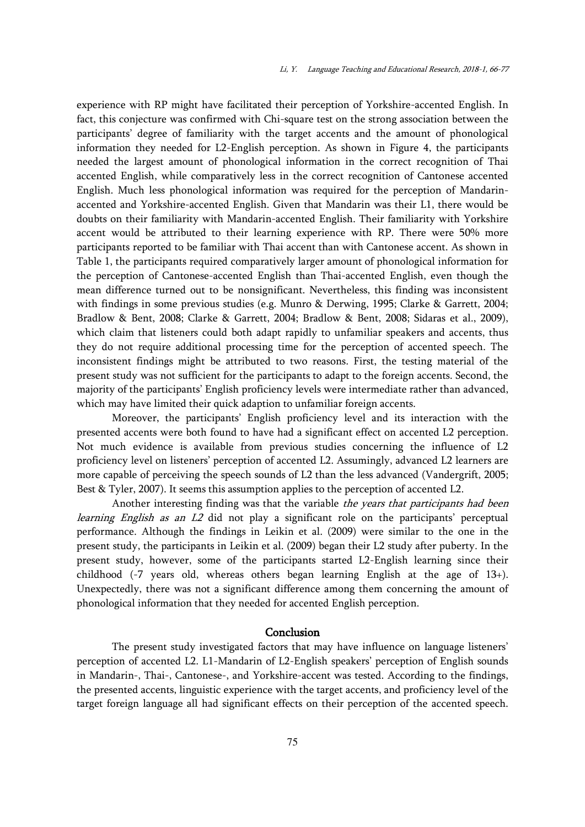experience with RP might have facilitated their perception of Yorkshire-accented English. In fact, this conjecture was confirmed with Chi-square test on the strong association between the participants' degree of familiarity with the target accents and the amount of phonological information they needed for L2-English perception. As shown in Figure 4, the participants needed the largest amount of phonological information in the correct recognition of Thai accented English, while comparatively less in the correct recognition of Cantonese accented English. Much less phonological information was required for the perception of Mandarinaccented and Yorkshire-accented English. Given that Mandarin was their L1, there would be doubts on their familiarity with Mandarin-accented English. Their familiarity with Yorkshire accent would be attributed to their learning experience with RP. There were 50% more participants reported to be familiar with Thai accent than with Cantonese accent. As shown in Table 1, the participants required comparatively larger amount of phonological information for the perception of Cantonese-accented English than Thai-accented English, even though the mean difference turned out to be nonsignificant. Nevertheless, this finding was inconsistent with findings in some previous studies (e.g. Munro & Derwing, 1995; Clarke & Garrett, 2004; Bradlow & Bent, 2008; Clarke & Garrett, 2004; Bradlow & Bent, 2008; Sidaras et al., 2009), which claim that listeners could both adapt rapidly to unfamiliar speakers and accents, thus they do not require additional processing time for the perception of accented speech. The inconsistent findings might be attributed to two reasons. First, the testing material of the present study was not sufficient for the participants to adapt to the foreign accents. Second, the majority of the participants' English proficiency levels were intermediate rather than advanced, which may have limited their quick adaption to unfamiliar foreign accents.

Moreover, the participants' English proficiency level and its interaction with the presented accents were both found to have had a significant effect on accented L2 perception. Not much evidence is available from previous studies concerning the influence of L2 proficiency level on listeners' perception of accented L2. Assumingly, advanced L2 learners are more capable of perceiving the speech sounds of L2 than the less advanced (Vandergrift, 2005; Best & Tyler, 2007). It seems this assumption applies to the perception of accented L2.

Another interesting finding was that the variable *the years that participants had been* learning English as an L2 did not play a significant role on the participants' perceptual performance. Although the findings in Leikin et al. (2009) were similar to the one in the present study, the participants in Leikin et al. (2009) began their L2 study after puberty. In the present study, however, some of the participants started L2-English learning since their childhood (-7 years old, whereas others began learning English at the age of 13+). Unexpectedly, there was not a significant difference among them concerning the amount of phonological information that they needed for accented English perception.

# Conclusion

The present study investigated factors that may have influence on language listeners' perception of accented L2. L1-Mandarin of L2-English speakers' perception of English sounds in Mandarin-, Thai-, Cantonese-, and Yorkshire-accent was tested. According to the findings, the presented accents, linguistic experience with the target accents, and proficiency level of the target foreign language all had significant effects on their perception of the accented speech.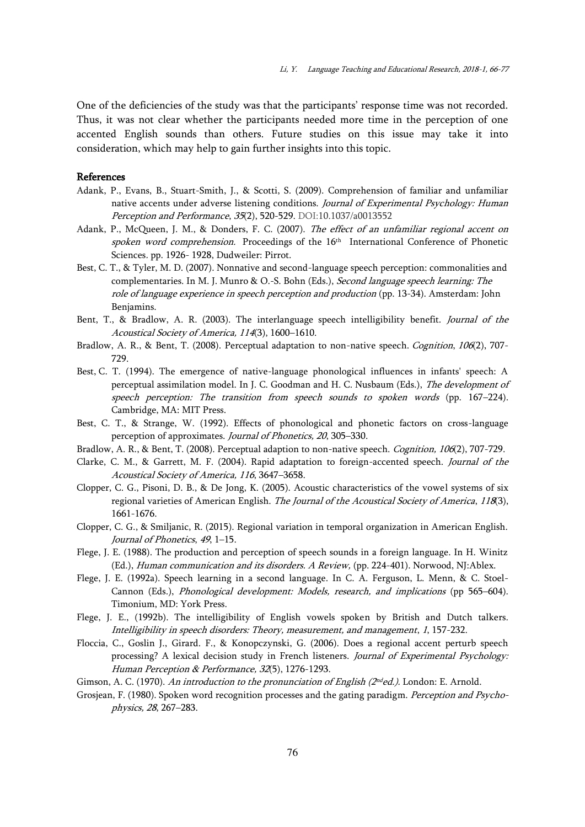One of the deficiencies of the study was that the participants' response time was not recorded. Thus, it was not clear whether the participants needed more time in the perception of one accented English sounds than others. Future studies on this issue may take it into consideration, which may help to gain further insights into this topic.

# References

- Adank, P., Evans, B., Stuart-Smith, J., & Scotti, S. (2009). Comprehension of familiar and unfamiliar native accents under adverse listening conditions. Journal of Experimental Psychology: Human Perception and Performance, 35(2), 520-529. DOI[:10.1037/a0013552](https://doi.org/10.1037/a0013552)
- Adank, P., McQueen, J. M., & Donders, F. C. (2007). The effect of an unfamiliar regional accent on spoken word comprehension. Proceedings of the 16<sup>th</sup> International Conference of Phonetic Sciences. pp. 1926- 1928, Dudweiler: Pirrot.
- Best, C. T., & Tyler, M. D. (2007). Nonnative and second-language speech perception: commonalities and complementaries. In M. J. Munro & O.-S. Bohn (Eds.), Second language speech learning: The role of language experience in speech perception and production (pp. 13-34). Amsterdam: John Benjamins.
- Bent, T., & Bradlow, A. R. (2003). The interlanguage speech intelligibility benefit. Journal of the Acoustical Society of America, 114(3), 1600–1610.
- Bradlow, A. R., & Bent, T. (2008). Perceptual adaptation to non-native speech. Cognition, 106(2), 707-729.
- Best, C. T. (1994). The emergence of native-language phonological influences in infants' speech: A perceptual assimilation model. In J. C. Goodman and H. C. Nusbaum (Eds.), The development of speech perception: The transition from speech sounds to spoken words (pp. 167–224). Cambridge, MA: MIT Press.
- Best, C. T., & Strange, W. (1992). Effects of phonological and phonetic factors on cross-language perception of approximates. Journal of Phonetics, 20, 305–330.
- Bradlow, A. R., & Bent, T. (2008). Perceptual adaption to non-native speech. *Cognition, 106*(2), 707-729.
- Clarke, C. M., & Garrett, M. F. (2004). Rapid adaptation to foreign-accented speech. Journal of the Acoustical Society of America, 116, 3647–3658.
- Clopper, C. G., Pisoni, D. B., & De Jong, K. (2005). Acoustic characteristics of the vowel systems of six regional varieties of American English. The Journal of the Acoustical Society of America, 118(3), 1661-1676.
- Clopper, C. G., & Smiljanic, R. (2015). Regional variation in temporal organization in American English. Journal of Phonetics, 49, 1–15.
- Flege, J. E. (1988). The production and perception of speech sounds in a foreign language. In H. Winitz (Ed.), Human communication and its disorders. A Review, (pp. 224-401). Norwood, NJ:Ablex.
- Flege, J. E. (1992a). Speech learning in a second language. In C. A. Ferguson, L. Menn, & C. Stoel-Cannon (Eds.), Phonological development: Models, research, and implications (pp 565–604). Timonium, MD: York Press.
- Flege, J. E., (1992b). The intelligibility of English vowels spoken by British and Dutch talkers. Intelligibility in speech disorders: Theory, measurement, and management, 1, 157-232.
- Floccia, C., Goslin J., Girard. F., & Konopczynski, G. (2006). Does a regional accent perturb speech processing? A lexical decision study in French listeners. Journal of Experimental Psychology: Human Perception & Performance, 32(5), 1276-1293.
- Gimson, A. C. (1970). *An introduction to the pronunciation of English (2<sup>nd</sup>ed.)*. London: E. Arnold.
- Grosjean, F. (1980). Spoken word recognition processes and the gating paradigm. Perception and Psychophysics, 28, 267–283.